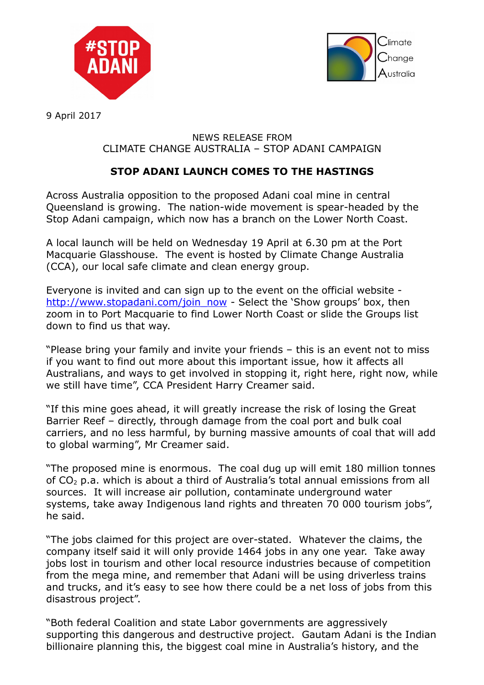



9 April 2017

## NEWS RELEASE FROM CLIMATE CHANGE AUSTRALIA – STOP ADANI CAMPAIGN

## **STOP ADANI LAUNCH COMES TO THE HASTINGS**

Across Australia opposition to the proposed Adani coal mine in central Queensland is growing. The nation-wide movement is spear-headed by the Stop Adani campaign, which now has a branch on the Lower North Coast.

A local launch will be held on Wednesday 19 April at 6.30 pm at the Port Macquarie Glasshouse. The event is hosted by Climate Change Australia (CCA), our local safe climate and clean energy group.

Everyone is invited and can sign up to the event on the official website [http://www.stopadani.com/join\\_now](http://www.stopadani.com/join_now) - Select the 'Show groups' box, then zoom in to Port Macquarie to find Lower North Coast or slide the Groups list down to find us that way.

"Please bring your family and invite your friends – this is an event not to miss if you want to find out more about this important issue, how it affects all Australians, and ways to get involved in stopping it, right here, right now, while we still have time", CCA President Harry Creamer said.

"If this mine goes ahead, it will greatly increase the risk of losing the Great Barrier Reef – directly, through damage from the coal port and bulk coal carriers, and no less harmful, by burning massive amounts of coal that will add to global warming", Mr Creamer said.

"The proposed mine is enormous. The coal dug up will emit 180 million tonnes of CO2 p.a. which is about a third of Australia's total annual emissions from all sources. It will increase air pollution, contaminate underground water systems, take away Indigenous land rights and threaten 70 000 tourism jobs", he said.

"The jobs claimed for this project are over-stated. Whatever the claims, the company itself said it will only provide 1464 jobs in any one year. Take away jobs lost in tourism and other local resource industries because of competition from the mega mine, and remember that Adani will be using driverless trains and trucks, and it's easy to see how there could be a net loss of jobs from this disastrous project".

"Both federal Coalition and state Labor governments are aggressively supporting this dangerous and destructive project. Gautam Adani is the Indian billionaire planning this, the biggest coal mine in Australia's history, and the